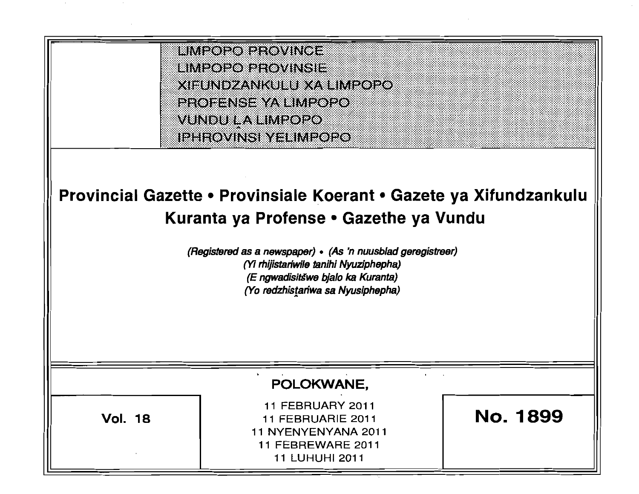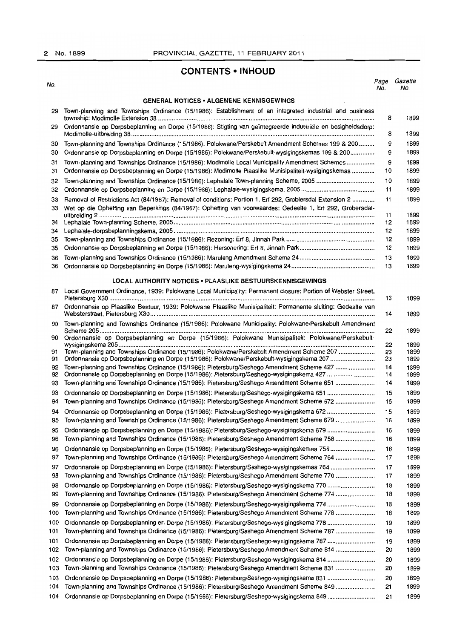# 2 No. 1899 PROVINCIAL GAZETTE, 11 FEBRUARY 2011

# **CONTENTS • INHOUD**

|            | UN I LIVI J * IIVI IUUU                                                                                                                                                                                 |          |                     |
|------------|---------------------------------------------------------------------------------------------------------------------------------------------------------------------------------------------------------|----------|---------------------|
| No.        |                                                                                                                                                                                                         | No.      | Page Gazette<br>No. |
|            | <b>GENERAL NOTICES • ALGEMENE KENNISGEWINGS</b>                                                                                                                                                         |          |                     |
| 29         | Town-planning and Townships Ordinance (15/1986): Establishment of an integrated industrial and business                                                                                                 | 8        | 1899                |
| 29         | Ordonnansie op Dorpsbeplanning en Dorpe (15/1986): Stigting van geïntegreerde industriële en besigheidsdorp:                                                                                            | 8        | 1899                |
| 30         | Town-planning and Townships Ordinance (15/1986): Polokwane/Perskebult Amendment Schemes 199 & 200                                                                                                       | 9        | 1899                |
| 30         | Ordonnansie op Dorpsbeplanning en Dorpe (15/1986): Polokwane/Perskebult-wysigingskemas 199 & 200                                                                                                        | 9        | 1899                |
| 31<br>31   | Town-planning and Townships Ordinance (15/1986): Modimolle Local Municipality Amendment Schemes<br>Ordonnansie op Dorpsbeplanning en Dorpe (15/1986): Modimolle Plaaslike Munisipaliteit-wysigingskemas | 9<br>10  | 1899<br>1899        |
| 32         |                                                                                                                                                                                                         | 10       | 1899                |
| 32         |                                                                                                                                                                                                         | 11       | 1899                |
| 33         | Removal of Restrictions Act (84/1967): Removal of conditions: Portion 1, Erf 292, Groblersdal Extension 2                                                                                               | 11       | 1899                |
| 33         | Wet op die Opheffing van Beperkings (84/1967): Opheffing van voorwaardes: Gedeelte 1, Erf 292, Grobersdal-                                                                                              | 11       | 1899                |
| 34         |                                                                                                                                                                                                         | 12       | 1899                |
| 34         |                                                                                                                                                                                                         | 12       | 1899                |
| 35         |                                                                                                                                                                                                         | 12       | 1899                |
| 35         |                                                                                                                                                                                                         | 12       | 1899                |
| 36<br>36   |                                                                                                                                                                                                         | 13<br>13 | 1899<br>1899        |
|            |                                                                                                                                                                                                         |          |                     |
|            | LOCAL AUTHORITY NOTICES . PLAASLIKE BESTUURSKENNISGEWINGS                                                                                                                                               |          |                     |
|            | 87 Local Government Ordinance, 1939: Polokwane Local Municipality: Permanent closure: Portion of Webster Street,                                                                                        | 13       | 1899                |
| 87         | Ordonnansie op Plaaslike Bestuur, 1939: Polokwane Plaaslike Munisipaliteit: Permanente sluiting: Gedeelte van                                                                                           | 14       | 1899                |
| 90         | Town-planning and Townships Ordinance (15/1986): Polokwane Municipality: Polokwane/Perskebult Amendment                                                                                                 | 22       | 1899                |
| 90.        | Ordonnansie op Dorpsbeplanning en Dorpe (15/1986): Polokwane Munisipaliteit: Polokwane/Perskebult-                                                                                                      | 22       | 1899                |
| 91<br>91   | Town-planning and Townships Ordinance (15/1986): Polokwane/Perskebult Amendment Scheme 207<br>Ordonnansie op Dorpsbeplanning en Dorpe (15/1986): Polokwane/Perskebult-wysigingskema 207                 | 23<br>23 | 1899<br>1899        |
| 92         | Town-planning and Townships Ordinance (15/1986): Pietersburg/Seshego Amendment Scheme 427                                                                                                               | 14       | 1899                |
| 92<br>93   | Ordonnansie op Dorpsbeplanning en Dorpe (15/1986): Pietersburg/Seshego-wysigingskema 427<br>Town-planning and Townships Ordinance (15/1986): Pietersburg/Seshego Amendment Scheme 651                   | 14<br>14 | 1899<br>1899        |
| 93         | Ordonnansie op Dorpsbeplanning en Dorpe (15/1986): Pietersburg/Seshego-wysigingskema 651                                                                                                                | 15       | 1899                |
| 94         | Town-planning and Townships Ordinance (15/1986): Pietersburg/Seshego Amendment Scheme 672                                                                                                               | 15       | 1899                |
| 94         | Ordonnansie op Dorpsbeplanning en Dorpe (15/1986): Pietersburg/Seshego-wysigingskema 672                                                                                                                | 15       | 1899                |
| 95         | Town-planning and Townships Ordinance (15/1986): Pietersburg/Seshego Amendment Scheme 679                                                                                                               | 16       | 1899                |
| 95         | Ordonnansie op Dorpsbeplanning en Dorpe (15/1986): Pietersburg/Seshego-wysigingskema 679                                                                                                                | 16       | 1899                |
| 96         | Town-planning and Townships Ordinance (15/1986): Pietersburg/Seshego Amendment Scheme 758                                                                                                               | 16       | 1899                |
| 96         | Ordonnansie op Dorpsbeplanning en Dorpe (15/1986): Pietersburg/Seshego-wysigingskemaa 758                                                                                                               | 16       | 1899                |
| 97         | Town-planning and Townships Ordinance (15/1986): Pietersburg/Seshego Amendment Scheme 764                                                                                                               | 17       | 1899                |
| 97<br>98   | Ordonnansie op Dorpsbeplanning en Dorpe (15/1986): Pietersburg/Seshego-wysigingskemaa 764<br>Town-planning and Townships Ordinance (15/1986): Pietersburg/Seshego Amendment Scheme 770                  | 17<br>17 | 1899<br>1899        |
| 98         | Ordonnansie op Dorpsbeplanning en Dorpe (15/1986): Pietersburg/Seshego-wysigingskema 770                                                                                                                | 18       | 1899                |
| 99         | Town-planning and Townships Ordinance (15/1986): Pietersburg/Seshego Amendment Scheme 774                                                                                                               | 18       | 1899                |
| 99         | Ordonnansie op Dorpsbeplanning en Dorpe (15/1986): Pietersburg/Seshego-wysigingskema 774                                                                                                                | 18       | 1899                |
| 100        | Town-planning and Townships Ordinance (15/1986): Pietersburg/Seshego Amendment Scheme 778                                                                                                               | 18       | 1899                |
| 100        | Ordonnansie op Dorpsbeplanning en Dorpe (15/1986): Pietersburg/Seshego-wysigingskema 778                                                                                                                | 19       | 1899                |
| 101        | Town-planning and Townships Ordinance (15/1986): Pietersburg/Seshego Amendment Scheme 787                                                                                                               | 19       | 1899                |
| 101<br>102 | Ordonnansie op Dorpsbeplanning en Dorpe (15/1986): Pietersburg/Seshego-wysigingskema 787<br>Town-planning and Townships Ordinance (15/1986): Pietersburg/Seshego Amendment Scheme 814                   | 19<br>20 | 1899<br>1899        |
| 102        | Ordonnansie op Dorpsbeplanning en Dorpe (15/1986): Pietersburg/Seshego-wysigingskema 814                                                                                                                | 20       | 1899                |
| 103        | Town-planning and Townships Ordinance (15/1986): Pietersburg/Seshego Amendment Scheme 831                                                                                                               | 20       | 1899                |
| 103        | Ordonnansie op Dorpsbeplanning en Dorpe (15/1986): Pietersburg/Seshego-wysigingskema 831                                                                                                                | 20       | 1899                |
| 104        | Town-planning and Townships Ordinance (15/1986): Pietersburg/Seshego Amendment Scheme 849                                                                                                               | 21       | 1899                |
| 104        | Ordonnansie op Dorpsbeplanning en Dorpe (15/1986): Pietersburg/Seshego-wysigingskema 849                                                                                                                | 21       | 1899                |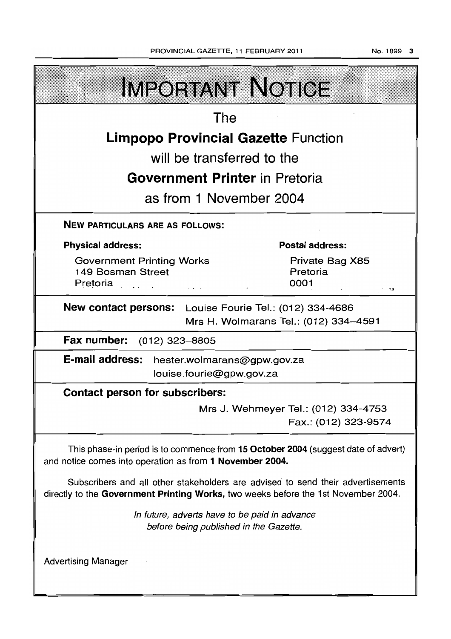| PROVINCIAL GAZETTE, 11 FEBRUARY 2011 |  |
|--------------------------------------|--|
|--------------------------------------|--|

No.1899 3

| <b>IMPORTANT NOTICE</b>                                                                                                                                               |                                                              |  |  |  |  |
|-----------------------------------------------------------------------------------------------------------------------------------------------------------------------|--------------------------------------------------------------|--|--|--|--|
| The                                                                                                                                                                   |                                                              |  |  |  |  |
| <b>Limpopo Provincial Gazette Function</b>                                                                                                                            |                                                              |  |  |  |  |
| will be transferred to the                                                                                                                                            |                                                              |  |  |  |  |
| <b>Government Printer</b> in Pretoria                                                                                                                                 |                                                              |  |  |  |  |
| as from 1 November 2004                                                                                                                                               |                                                              |  |  |  |  |
| <b>NEW PARTICULARS ARE AS FOLLOWS:</b>                                                                                                                                |                                                              |  |  |  |  |
| <b>Physical address:</b>                                                                                                                                              | <b>Postal address:</b>                                       |  |  |  |  |
| <b>Government Printing Works</b><br>149 Bosman Street<br>Pretoria                                                                                                     | Private Bag X85<br>Pretoria<br>0001<br>n ne                  |  |  |  |  |
| <b>New contact persons:</b> Louise Fourie Tel.: (012) 334-4686<br>Mrs H. Wolmarans Tel.: (012) 334-4591                                                               |                                                              |  |  |  |  |
| Fax number:<br>(012) 323–8805                                                                                                                                         |                                                              |  |  |  |  |
| E-mail address:<br>hester.wolmarans@gpw.gov.za<br>louise.fourie@gpw.gov.za                                                                                            |                                                              |  |  |  |  |
| <b>Contact person for subscribers:</b>                                                                                                                                |                                                              |  |  |  |  |
|                                                                                                                                                                       | Mrs J. Wehmeyer Tel.: (012) 334-4753<br>Fax.: (012) 323-9574 |  |  |  |  |
| This phase-in period is to commence from 15 October 2004 (suggest date of advert)<br>and notice comes into operation as from 1 November 2004.                         |                                                              |  |  |  |  |
| Subscribers and all other stakeholders are advised to send their advertisements<br>directly to the Government Printing Works, two weeks before the 1st November 2004. |                                                              |  |  |  |  |
| In future, adverts have to be paid in advance<br>before being published in the Gazette.                                                                               |                                                              |  |  |  |  |
| <b>Advertising Manager</b>                                                                                                                                            |                                                              |  |  |  |  |
|                                                                                                                                                                       |                                                              |  |  |  |  |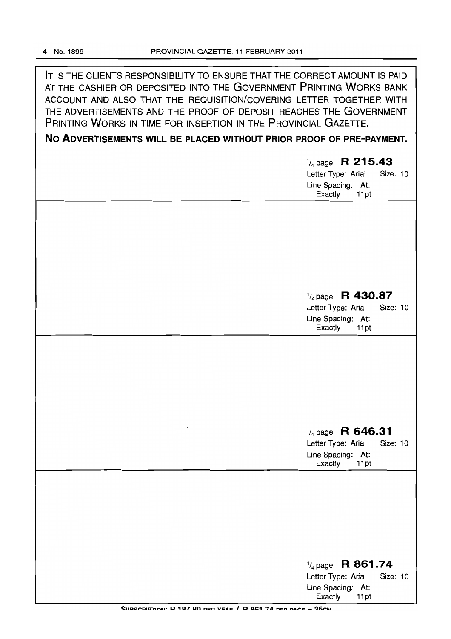**IT** IS THE CLIENTS RESPONSIBILITY TO ENSURE THAT THE CORRECT AMOUNT IS PAID AT THE CASHIER OR DEPOSITED INTO THE GOVERNMENT PRINTING WORKS BANK ACCOUNT AND ALSO THAT THE REQUISITION/COVERING LETTER TOGETHER WITH THE ADVERTISEMENTS AND THE PROOF OF DEPOSIT REACHES THE GOVERNMENT PRINTING WORKS IN TIME FOR INSERTION IN THE PROVINCIAL GAZETTE.

**No ADVERTISEMENTS WILL BE PLACED WITHOUT PRIOR PROOF OF PRE-PAYMENT.** 

| $\frac{1}{4}$ page R 215.43<br>Letter Type: Arial<br>Size: 10<br>Line Spacing: At:<br>Exactly<br>11pt |
|-------------------------------------------------------------------------------------------------------|
|                                                                                                       |
| $\frac{1}{4}$ page R 430.87                                                                           |
| Letter Type: Arial<br>Size: 10<br>Line Spacing: At:<br>Exactly<br>11pt                                |
|                                                                                                       |
|                                                                                                       |
| $\frac{1}{4}$ page R 646.31<br>Letter Type: Arial<br>Size: 10<br>Line Spacing: At:<br>Exactly<br>11pt |
|                                                                                                       |
|                                                                                                       |
| $\frac{1}{4}$ page R 861.74<br>Letter Type: Arial<br>Size: 10<br>Line Spacing: At:                    |

SUPECPURTION: R 187 80 DED VEAR / R 861 74 DER DAGE = 25CM

Exactly 11 pt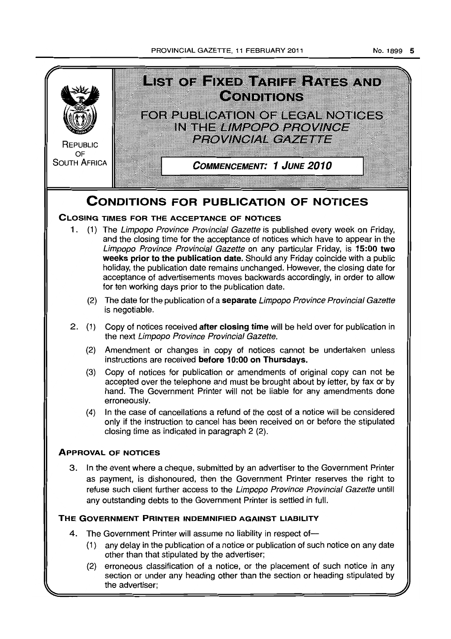

(2) erroneous classification of a notice, or the placement of such notice in any section or under any heading other than the section or heading stipulated by the advertiser;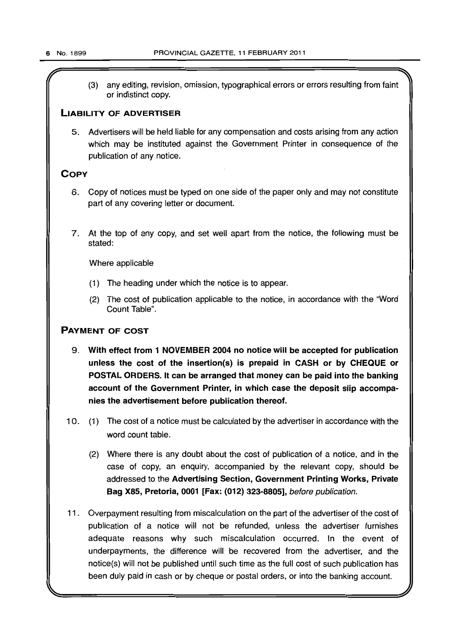(3) any editing, revision, omission, typographical errors or errors resulting from faint or indistinct copy.

# LIABILITY OF ADVERTISER

5. Advertisers will be held liable for any compensation and costs arising from any action which may be instituted against the Government Printer in consequence of the publication of any notice.

# **COPY**

- 6. Copy of notices must be typed on one side of the paper only and may not constitute part of any covering letter or document.
- 7. At the top of any copy, and set well apart from the notice, the following must be stated:

Where applicable

- (1) The heading under which the notice is to appear.
- (2) The cost of publication applicable to the notice, in accordance with the "Word Count Table",

# PAYMENT OF COST

- 9. With effect from 1 NOVEMBER 2004 no notice will be accepted for publication unless the cost of the insertion(s) is prepaid in CASH or by CHEQUE or POSTAL ORDERS. It can be arranged that money can be paid into the banking account of the Government Printer, in which case the deposit slip accompanies the advertisement before publication thereof.
- 10. (1) The cost of a notice must be calculated by the advertiser in accordance with the word count table.
	- (2) Where there is any doubt about the cost of publication of a notice, and in the case of copy, an enquiry, accompanied by the relevant copy, should be addressed to the Advertising Section, Government Printing Works, Private Bag X85, Pretoria, 0001 [Fax: (012) 323-8805], before publication.
- 11. Overpayment resulting from miscalculation on the part of the advertiser of the cost of publication of a notice will not be refunded, unless the advertiser furnishes adequate reasons why such miscalculation occurred. In the event of underpayments. the difference will be recovered from the advertiser, and the notice(s) will not be published until such time as the full cost of such publication has been duly paid in cash or by cheque or postal orders, or into the banking account.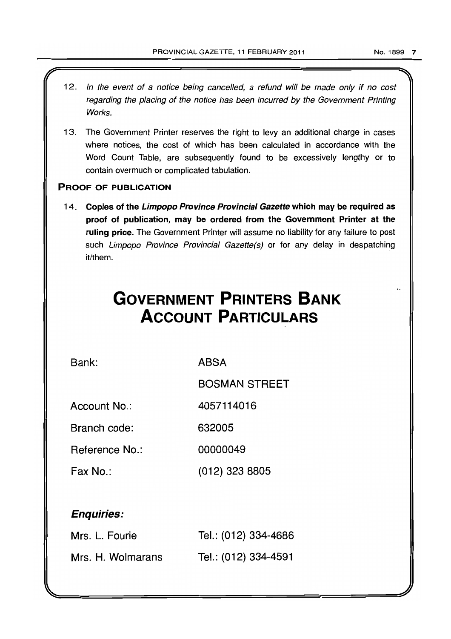- 12. In the event of a notice being cancelled, a refund will be made only if no cost regarding the placing of the notice has been incurred by the Government Printing Works.
- 13. The Government Printer reserves the right to levy an additional charge in cases where notices, the cost of which has been calculated in accordance with the Word Count Table, are subsequently found to be excessively lengthy or to contain overmuch or complicated tabulation.

# PROOF OF PUBLICATION

14. Copies of the Limpopo Province Provincial Gazette which may be required as proof of publication, may be ordered from the Government Printer at the ruling price. The Government Printer will assume no liability for any failure to post such Limpopo Province Provincial Gazette(s) or for any delay in despatching it/them.

# **GOVERNMENT PRINTERS BANK ACCOUNT PARTICULARS**

Bank:

ABSA

BOSMAN STREET

Account No.: 4057114016

Branch code: 632005

Reference No.: 00000049

Fax No.: (012) 323 8805

# Enquiries:

| Mrs. L. Fourie    | Tel.: (012) 334-4686 |
|-------------------|----------------------|
| Mrs. H. Wolmarans | Tel.: (012) 334-4591 |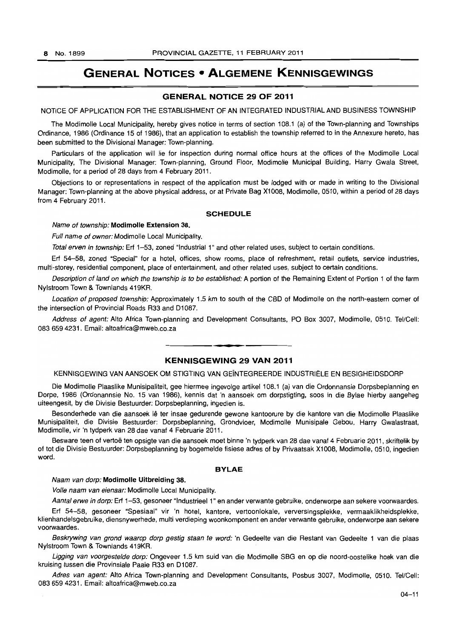# **GENERAL NOTICES • ALGEMENE KENNISGEWINGS**

### **GENERAL NOTICE 29 OF 2011**

NOTICE OF APPLICATION FOR THE ESTABLISHMENT OF AN INTEGRATED INDUSTRIAL AND BUSINESS TOWNSHIP

The Modimolle Local Municipality, hereby gives notice in terms of section 108.1 (a) of the Town-planning and Townships Ordinance, 1986 (Ordinance 15 of 1986), that an application to establish the township referred to in the Annexure hereto, has been submitted to the Divisional Manager: Town-planning.

Particulars of the application will lie for inspection during normal office hours at the offices of the Modimolle Local Municipality, The Divisional Manager: Town-planning, Ground Floor, Modimolle Municipal Building, Harry Gwala Street, Modimolle, for a period of 28 days from 4 February 2011.

Objections to or representations in respect of the application must be lodged with or made in writing to the Divisional Manager: Town-planning at the above physical address, or at Private Bag X1008, Modimolle, 0510, within a period of 28 days from 4 February 2011.

### **SCHEDULE**

#### Name of township: **Modimolle Extension 38.**

Full name of owner: Modimolle Local Municipality.

Total erven in township: Erf 1-53, zoned "Industrial 1" and other related uses, subject to certain conditions.

Erf 54-58, zoned "Special" for a hotel, offices, show rooms, place of refreshment, retail outlets, service industries, multi-storey, residential component, place of entertainment, and other related uses, subject to certain conditions.

Description of land on which the township is to be established: A portion of the Remaining Extent of Portion 1 of the farm Nylstroom Town & Townlands 419KR.

Location of proposed township: Approximately 1.5 km to south of the CBD of Modimolle on the north-eastern corner of the intersection of Provincial Roads R33 and D1087.

Address of agent: Alto Africa Town-planning and Development Consultants, PO Box 3007, Modimolle, 0510. Tel/Cell: 0836594231. Email: altoafrica@mweb.co.za

# **KENNISGEWING 29 VAN 2011**

. **- .** 

KENNISGEWING VAN AANSOEK OM STIGTING VAN GEÏNTEGREERDE INDUSTRIËLE EN BESIGHEIDSDORP

Die Modimolle Plaaslike Munisipaliteit, gee hiermee ingevolge artikel 108.1 (a) van die Ordonnansie Dorpsbeplanning en Dorpe, 1986 (Ordonannsie No. 15 van 1986), kennis dat 'n aansoek om dorpstigting, soos in die Bylae hierby aangeheg uiteengesit, by die Divisie Bestuurder: Dorpsbeplanning, ingedien is.

Besonderhede van die aansoek lê ter insae gedurende gewone kantoorure by die kantore van die Modimolle Plaaslike Munisipaliteit, die Divisie Bestuurder: Dorpsbeplanning, Grondvloer, Modimolle Munisipale Gebou, Harry Gwalastraat, Modimolle, vir 'n tydperk van 28 dae vanaf 4 Februarie 2011.

Besware teen of vertoë ten opsigte van die aansoek moet binne 'n tydperk van 28 dae vanaf 4 Februarie 2011, skriftelik by of tot die Divisie Bestuurder: Dorpsbeplanning by bogemelde fisiese adres of by Privaatsak X1008, Modimolle, 0510, ingedien word.

# **BYLAE**

### Naam van dorp: **Modimolle Uitbreiding 38.**

 $\overline{a}$ 

Volle naam van eienaar: Modimolle Local Municipality.

Aantal erwe in dorp: Erf 1-53, gesoneer "Industrieel 1" en ander verwante gebruike, onderworpe aan sekere voorwaardes.

Erf 54-58, gesoneer "Spesiaal" vir 'n hotel, kantore, vertoonlokale, verversingsplekke, vermaaklikheidsplekke, klienhandelsgebruike, diensnywerhede. multi verdieping woonkomponent en ander verwante gebruike, onderworpe aan sekere voorwaardes.

Beskrywing van grond waarop dorp gestig staan te word: 'n Gedeelte van die Restant van Gedeelte 1 van die plaas Nylstroom Town & Townlands 419KR.

Ligging van voorgestelde dorp: Ongeveer 1.5 km suid van die Modimolle SBG en op die noord-oostelike hoek van die kruising tussen die Provinsiale Paaie R33 en D1087.

Adres van agent: Alto Africa Town-planning and Development Consultants, Posbus 3007, Modimolle, 0510. Tei/Cell: 0836594231. Email: altoafrica@mweb.co.za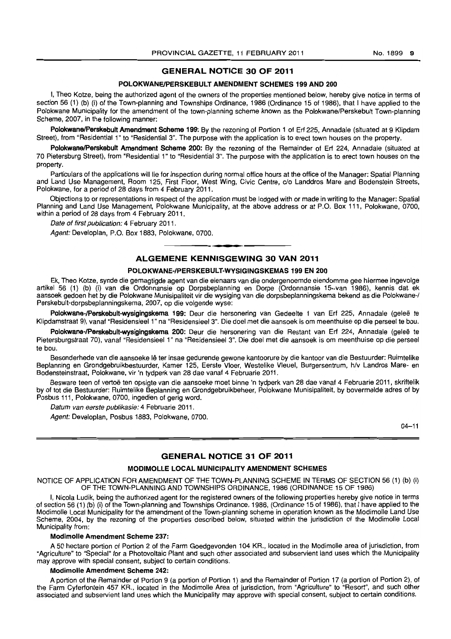# GENERAL NOTICE 30 OF 2011

#### POLOKWANEJPERSKEBULT AMENDMENT SCHEMES 199 AND 200

t. Theo Kotze, being the authorized agent of the owners of the properties mentioned below, hereby give notice in terms of section 56 (1) (b) (i) of the Town-planning and Townships Ordinance, 1986 (Ordinance 15 of 1986), that I have applied to the Polokwane Municipality for the amendment of the town-planning scheme known as the Polokwane/Perskebult Town-planning Scheme, 2007, in the following manner:

Polokwane/Perskebult Amendment Scheme 199: By the rezoning of Portion 1 of Erf 225, Annadale (situated at 9 Klipdam Street), from "Residential 1" to "Residential 3". The purpose with the application is to erect town houses on the property.

Polokwane/Perskebult Amendment Scheme 200: By the rezoning of the Remainder of Erf 224, Annadale (situated at 70 Pietersburg Street). from "Residential 1" to "Residential 3". The purpose with the application is to erect town houses on the property.

Particulars of the applications will lie for inspection during normal office hours at the office of the Manager: Spatial Planning and Land Use Management. Room 125. First Floor. West Wing, Civic Centre. c/o Landdros Mare and Bodenstein Streets. Polokwane. for a period of 28 days from 4 February 2011.

Objections to or representations in respect of the application must be lodged with or made in writing to the Manager: Spatial Planning and Land Use Management. Polokwane Municipality, at the above address or at P.O. Box 111. Polokwane. 0700, within a period of 28 days from 4 February 2011.

Date of first publication: 4 February 2011.

Agent: Developlan, P.O. Box 1883, Polokwane, 0700.

# ALGEMENE KENNISGEWING 30 VAN 2011

. **- .** 

#### POLOKWANE-/PERSKEBULT-WYSIGINGSKEMAS 199 EN 200

Ek, Theo Kotze, synde die gemagtigde agent van die eienaars van die ondergenoemde eiendomme gee hiermee ingevolge artikel 56 (1) (b) (i) van die Ordonnansie op Dorpsbeplanning en Dorpe (Ordonnansie 1S,.van 1986). kenois dat ek aansoek gedoen het by die Polokwane Munisipaliteit vir die wysiging van die dorpsbeplanningskema bekend as die Polokwane-/ Perskebult-dorpsbeplanningskema, 2007, op die volgende wyse:

Polokwane-/Perskebult-wysigingskema 199: Deur die hersonering van Gedeelte 1 van Erf 225, Annadale (geleë te Klipdamstraat 9), vanaf "Residensieel 1" na "Residensieel 3". Die doel met die aansoek is om meenthuise op die perseel te bou.

Polokwane-/Perskebult-wysigingskema 200: Deur die hersonering van die Restant van Erf 224, Annadale (geleë te Pietersburgstraat 70), vanaf "Residensieel 1" na "Residensieel 3". Die doel met die aansoek is om meenthuise op die perseel te bou.

Besonderhede van die aansoeke lê ter insae gedurende gewone kantoorure by die kantoor van die Bestuurder: Ruimtelike Beplanning en Grondgebruikbestuurder, Kamer 125, Eerste Vloer, Westelike Vleuel, Burgersentrum, hiv Landros Mare- en Bodensteinstraat, Polokwane, vir 'n tydperk van 28 dae vanaf 4 Februarie 2011.

Besware teen of vertoe ten opsigte van die aansoeke moet binne 'n tydperk van 28 dae vanaf 4 Februarie 2011, skriftelik by of tot die Bestuurder: Ruimtelike Beplanning en Grondgebruikbeheer, Polokwane Munisipaliteit, by bovermelde adres of by Posbus 111, Polokwane, 0700, ingedien of gerig word.

Datum van eerste publikasie: 4 Februarie 2011.

Agent: Developlan, Posbus 1883, Polokwane, 0700.

04-11

# GENERAL NOTICE 31 OF 2011

# MODIMOLLE LOCAL MUNICIPALITY AMENDMENT SCHEMES

NOTICE OF APPLICATION FOR AMENDMENT OF THE TOWN-PLANNING SCHEME IN TERMS OF SECTION 56 (1) (b) (i) OF THE TOWN-PLANNING AND TOWNSHIPS ORDINANCE, 1986 (ORDINANCE 15 OF 1986)

I, Nicola Ludik. being the authorized agent for the registered owners of the following properties hereby give notice in terms of section 56 (1) (b) (i) of the Town-planning and Townships Ordinance, 1986, (Ordinance 15 of 1986), that I have applied to the Modimolle Local Municipality for the amendment of the Town-planning scheme in operation known as the Modimolle Land Use Scheme, 2004, by the rezoning of the properties described below, situated within the jurisdiction of the Modimolle Local Municipality from:

#### Modimolle Amendment Scheme 237:

A 50 hectare portion of Portion 2 of the Farm Goedgevonden 104 KR., located in the Modimolle area of jurisdiction, from "Agriculture" to "Special" for a Photovoltaic Plant and such other associated and subservient land uses which the Municipality may approve with special consent, subject to certain conditions.

#### Modimolle Amendment Scheme 242:

A portion of the Remainder of Portion 9 (a portion of Portion 1) and the Remainder of Portion 17 (a portion of Portion 2), of the Farm Cyferfontein 457 KR., located in the Modimolle Area of jurisdiction, from "Agriculture" to "Resort", and such other associated and subservient land uses which the Municipality may approve with special consent, subject to certain conditions.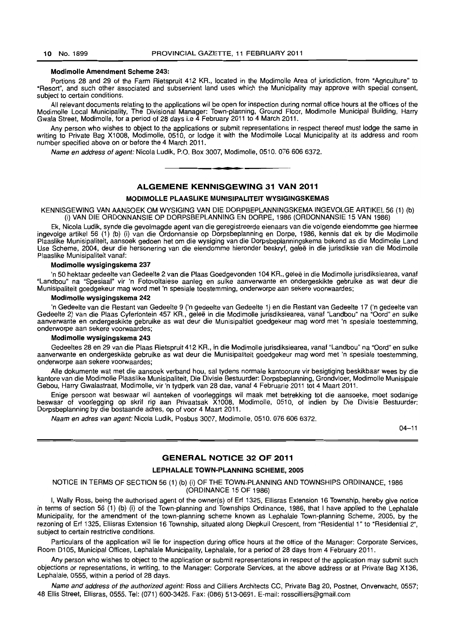#### Modimolle Amendment Scheme 243:

Portions 28 and 29 of the Farm Rietspruit 412 KR., located in the Modimolle Area of jurisdiction, from "Agriculture" to "Resort", and such other associated and subservient land uses which the Municipality may approve with special consent, subject to certain conditions.

All relevant documents relating to the applications wil be open for inspection during normal office hours at the offices of the Modimolle Local Municipality, The Divisional Manager: Town-planning, Ground Floor, Modimolle Municipal Building, Harry Gwala Street, Modimolle, for a period of 28 days i.e 4 February 2011 to 4 March 2011.

Any person who wishes to object to the applications or submit representations in respect thereof must lodge the same in writing to Private Bag X1008, Modimolle, 0510, or lodge it with the Modimolle Local Municipality at its address and room number specified above on or before the 4 March 2011.

Name en address of agent: Nicola Ludik, P.O. Box 3007, Modimolle, 0510, 076 606 6372.

# ALGEMENE KENNISGEWING 31 VAN 2011

• I

#### MODIMOLLE PLAASLIKE MUNISIPALITEIT WVSIGINGSKEMAS

KENNISGEWING VAN AANSOEK OM WVSIGING VAN DIE DORPBEPLANNINGSKEMA INGEVOLGE ARTIKEL 56 (1) (b) (i) VAN DIE ORDONNANSIE OP DORPSBEPLANNING EN DORPE, 1986 (ORDONNANSIE 15 VAN 1986)

Ek, Nicola Ludik, synde die gevolmagde agent van die geregistreerde eienaars van die volgende eiendomme gee hiermee ingevolge artikel 56 (1) (b) (i) van die Ordonnansie op Dorpsbeplanning en Dorpe, 1986, kennis dat ek by die Modimolle Plaaslike Munisipaliteit, aansoek gedoen het om die wysiging van die Dorpsbeplanningskema bekend as die Modimolle Land Use Scheme, 2004, deur die hersonering van die eiendomme hieronder beskryf, gelee in die jurisdiksie van die Modimolle Plaaslike Munisipaliteit vanaf:

#### Modimolle wysigingskema 237

'n 50 hektaar gedeelte van Gedeelte 2 van die Plaas Goedgevonden 104 KR., geleë in die Modimolle jurisdiksiearea, vanaf "Landbou" na "Spesiaal" vir 'n Fotovoltaiese aanleg en sulke aanverwante en ondergeskikte gebruike as wat deur die Munisipaliteit goedgekeur mag word met 'n spesiale toestemming, onderworpe aan sekere voorwaardes;

#### Modimolle wysigingskema 242

'n Gedeelte van die Restant van Gedeelte 9 ('n gedeelte van Gedeelte 1) en die Restant van Gedeelte 17 ('n gedeelte van Gedeelte 2) van die Plaas Cyferfontein 457 KR., gelee in die Modimolle jurisdiksiearea, vanaf "Landbou" na "Oord" en sulke aanverwante en ondergeskikte gebruike as wat deur die Munisipaltiet goedgekeur mag word met 'n spesiale toestemming, onderworpe aan sekere voorwaardes;

#### Modimolle wysigingskema 243

Gedeeltes 28 en 29 van die Plaas Rietspruit 412 KR., in die Modimolle jurisdiksiearea, vanaf "Landbou" na "Oord" en sulke aanverwante en ondergeskikte gebruike as wat deur die Munisipaliteit goedgekeur mag word met 'n spesiale toestemming, onderworpe aan sekere voorwaardes;

Aile dokumente wat met die aansoek verband hou, sal tydens normale kantoorure vir besigtiging beskikbaar wees by die kantore van die Modimolle Plaaslike Munisipaliteit, Die Divisie Bestuurder: Dorpsbeplanning, Grondvloer, Modimolle Munisipale Gebou, Harry Gwalastraat, Modimolle, vir 'n tydperk van 28 dae, vanaf 4 Februarie 2011 tot 4 Maart 2011.

Enige persoon wat beswaar wil aanteken of voorleggings wi! maak met betrekking tot die aansoeke, moet sodanige beswaar of voorlegging op skrif rig aan Privaatsak X1008, Modimolle, 0510, of indien by Die Divisie Bestuurder: Dorpsbeplanning by die bostaande adres, op of voor 4 Maart 2011.

Naam en adres van agent: Nicola Ludik, Posbus 3007, Modimolle, 0510, 076 606 6372.

04-11

### GENERAL NOTICE 32 OF 2011

#### LEPHALALE TOWN-pLANNING SCHEME, 2005

NOTICE IN TERMS OF SECTION 56 (1) (b) (i) OF THE TOWN-PLANNING AND TOWNSHIPS ORDINANCE, 1986 (ORDINANCE 15 OF 1986)

I, Wally Ross, being the authorised agent of the owner(s) of Erf 1325, Ellisras Extension 16 Township. hereby give notice in terms of section 56 (1) (b) (i) of the Town-planning and Townships Ordinance, 1986, that I have applied to the Lephalale Municipality, for the amendment of the town-planning scheme known as Lephalale Town-planning Scheme, 2005, by the rezoning of Erf 1325, Ellisras Extension 16 Township, situated along Diepkuil Crescent, from "Residential 1" to "Residential 2", subject to certain restrictive conditions.

Particulars of the application will lie for inspection during office hours at the office of the Manager: Corporate Services, Room D105, Municipal Offices, Lephalale Municipality, Lephalale, for a period of 28 days from 4 February 2011.

Any person who wishes to object to the application or submit representations in respect of the application may submit such objections or representations, in writing, to the Manager: Corporate Services, at the above address or at Private Bag X136, Lephalale, 0555, within a period of 28 days.

Name and address of the authorized agent: Ross and Cilliers Architects CC, Private Bag 20, Postnet, Onverwacht, 0557; 48 Ellis Street, Ellisras, 0555. Tel: (071) 600-3426. Fax: (086) 513-0691. E-mail: rosscilliers@gmail.com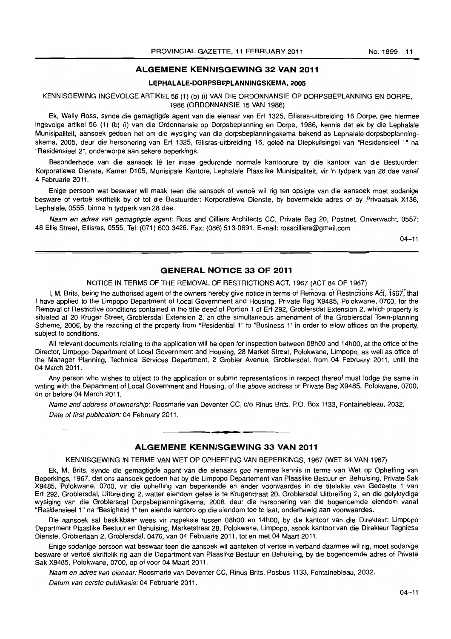# **ALGEMENE KENNISGEWING 32 VAN 2011**

#### **LEPHALALE-DORPSBEPLANNINGSKEMA, 2005**

### KENNISGEWING INGEVOLGE ARTIKEL 56 (1) (b) (i) VAN DIE ORDONNANSIE OP DORPSBEPLANNING EN DORPE. 1986 (ORDONNANSIE 15 VAN 1986)

Ek, Wally Ross, synde die gemagtigde agent van die eienaar van Erf 1325. Ellisras-uitbreiding 16 Dorpe, gee hiermee ingevolge artikel 56 (1) (b) (i) van die Ordonnansie op Dorpsbeplanning en Dorpe. 1986, kennis dat ek by die Lephalale Munisipaliteit, aansoek gedoen het om die wysiging van die dorpsbeplanningskema bekend as Lephalale-dorpsbeplanningskema, 2005, deur die hersonering van Erf 1325, Ellisras-uitbreiding 16, gelee na Diepkuilsingel van "Residensieel 1" na "Residensieel 2", onderworpe aan sekere beperkings.

Besonderhede van die aansoek lê ter insae gedurende normale kantoorure by die kantoor van die Bestuurder: Korporatiewe Dienste, Kamer D105, Munisipale Kantore, Lephalale Plaaslike Munisipaliteit, vir 'n tydperk van 28 dae vanaf 4 Februarie 2011.

Enige persoon wat beswaar wil maak teen die aansoek of vertoe wil rig ten opsigte van die aansoek moet sodanige besware of vertoë skriftelik by of tot die Bestuurder: Korporatiewe Dienste, by bovermelde adres of by Privaatsak X136, Lephalale, 0555, binne 'n tydperk van 28 dae.

Naam en adres van gemagtigde agent: Ross and Cilliers Architects CC, Private Bag 20, Postnet, Onverwacht, 0557; 48 Ellis Street, Ellisras, 0555. Tel: (071) 600-3426. Fax: (086) 513-0691. E-mail: rosscilliers@gmaii.com

 $04 - 11$ 

#### **GENERAL NOTICE 33 OF 2011**

# NOTICE IN TERMS OF THE REMOVAL OF RESTRICTIONS ACT, 1967 (ACT 84 OF 1967)

I, M. Brits, being the authorised agent of the owners hereby give notice in terms of Removal of Restrictions Act, 1967, that I have applied to the Limpopo Department of Local Government and Housing, Private Bag X9485, Polokwane, 0700, for the Removal of Restrictive conditions contained in the title deed of Portion 1 of Erf 292, Groblersdal Extension 2, which property is situated at 20 Kruger Street, Groblersdal Extension 2, an dthe simultaneous amendment of the Groblersdal Town-planning Scheme, 2006, by the rezoning of the property from "Residential 1" to "Business 1" in order to allow offices on the property, subject to conditions.

All relevant documents relating to the application will be open for inspection between 08hOO and 14hOO, at the office of the Director, Limpopo Department of Local Government and Housing, 28 Market Street, Polokwane, Limpopo, as well as office of the Manager Planning, Technical Services Department, 2 Grobler Avenue, Groblersdal, from 04 February 2011, until the 04 March 2011.

Any person who wishes to object to the application or submit representations in respect thereof must lodge the same in writing with the Department of Local Government and Housing, of the above address or Private Bag X9485, Polokwane, 0700, on or before 04 March 2011.

Name and address of ownership: Roosmarie van Deventer CC, c/o Rinus Brits, P.O. Box 1133, Fontainebleau, 2032. Date of first publication: 04 February 2011.

# **ALGEMENE KENNISGEWING 33 VAN 2011**

**• •** 

#### KENNISGEWING IN TERME VAN WET OP OPHEFFING VAN BEPERKINGS, 1967 (WET 84 VAN 1967)

Ek, M. Brits, synde die gemagtigde agent van die eienaars gee hiermee kennis in terme van Wet op Opheffing van Beperkings, 1967, dat ons aansoek gedoen het by die Limpopo Departement van Plaaslike Bestuur en Behuising, Private Sak X9485, Polokwane, 0700, vir die opheffing van beperkende en ander voorwaardes in die titelakte van Gedeelte 1 van Erf 292, Groblersdal, Uitbreiding 2, watter eiendom geleë is te Krugerstraat 20, Groblersdal Uitbreifing 2, en die gelyktydige wysiging van die Groblersdal Dorpsbeplanningskema, 2006. deur die hersonering van die bogenoemde eiendom vanaf "Residensieel 1" na "Besigheid 1" ten eiende kantore op die eiendom toe te laat, onderhewig aan voorwaardes.

Die aansoek sal beskikbaar wees vir inspeksie tussen 08hOO en 14hOO, by die kantoor van die Direkteur: Limpopo Department Plaaslike Bestuur en Behuising, Marketstraat 28, Polokwane, Limpopo, asook kantoor van die Direkteur Tegniese Dienste, Groblerlaan 2, Groblersdal, 0470, van 04 Februarie 2011, tot en met 04 Maart 2011.

Enige sodanige persoon wat beswaar teen die aansoek wil aanteken of vertoë in verband daarmee wil rig, moet sodanige besware of vertoë skriftelik rig aan die Department van Plaaslike Bestuur en Behuising, by die bogenoemde adres of Private Sak X9485, Polokwane, 0700, op of voor 04 Maart 2011.

Naam en adres van eienaar: Roosmarie van Deventer CC, Rinus Brits, Posbus 1133, Fontainebleau, 2032.

Datum van eerste pubfikasie: 04 Februarie 2011.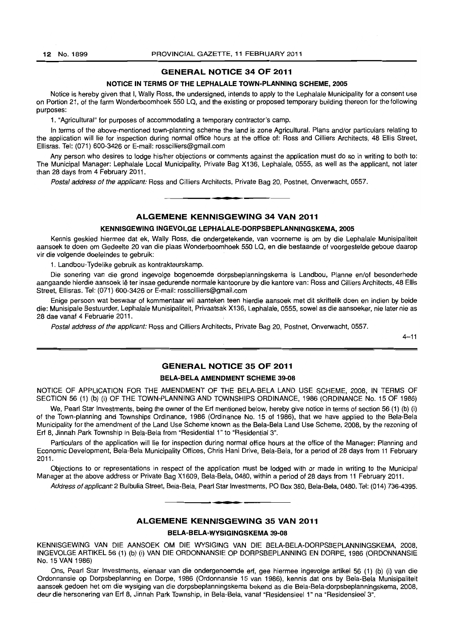# GENERAL NOTICE 34 OF 2011

#### NOTICE IN TERMS OF THE LEPHALALE TOWN-PLANNING SCHEME, 2005

Notice is hereby given that I, Wally Ross, the undersigned, intends to apply to the Lephalale Municipality for a consent use on Portion 21, of the farm Wonderboomhoek 550 LQ, and the existing or proposed temporary building thereon for the following purposes:

1. "Agricultural" for purposes of accommodating a temporary contractor's camp.

In terms of the above-mentioned town-planning scheme the land is zone Agricultural. Plans and/or particulars relating to the application will lie for inspection during normal office hours at the office of: Ross and Cilliers Architects, 48 Ellis Street, Ellisras. Tel: (071) 600-3426 or E-mail: rosscilliers@gmail.com

Any person who desires to lodge his/her objections or comments against the application must do so in writing to both to: The Municipal Manager: Lephalale Local Municipality, Private Bag X136, Lephalale, 0555, as well as the applicant, not later than 28 days from 4 February 2011.

Postal address of the applicant: Ross and Cilliers Architects, Private Bag 20, Postnet, Onverwacht, 0557.

# ALGEMENE KENNISGEWING 34 VAN 2011

### KENNISGEWING INGEVOLGE LEPHALALE-DORPSBEPLANNINGSKEMA, 2005

**• I** 

Kennis geskied hiermee dat ek, Wally Ross, die ondergetekende, van voorneme is om by die Lephalale Munisipaliteit aansoek te doen om Gedeelte 20 van die plaas Wonderboomhoek 550 LQ, en die bestaande of voorgestelde geboue daarop vir die volgende doeleindes te gebruik:

1. Landbou-Tydelike gebruik as kontrakteurskamp.

Die sonering van die grond ingevolge bogenoemde dorpsbeplanningskema is Landbou, Planne en/of besonderhede aangaande hierdie aansoek lê ter insae gedurende normale kantoorure by die kantore van: Ross and Cilliers Architects, 48 Ellis Street, Ellisras. Tel: (071) 600-3426 or E-mail: rosscilliers@gmail.com

Enige persoon wat beswaar of kommentaar wil aanteken teen hierdie aansoek met dit skriftelik doen en indien by beide die: Munisipale Bestuurder, Lephalale Munisipaliteit, Privaatsak X136, Lephalale, 0555, sowel as die aansoeker, nie later nie as 28 dae vanaf 4 Februarie 2011.

Postal address of the applicant: Ross and Cilliers Architects, Private Bag 20, Postnet, Onverwacht, 0557.

 $4 - 11$ 

# GENERAL NOTICE 35 OF 2011

### BELA-BELA AMENDMENT SCHEME 39-08

NOTICE OF APPLICATION FOR THE AMENDMENT OF THE BELA-BELA LAND USE SCHEME, 2008, IN TERMS OF SECTION 56 (1) (b) (i) OF THE TOWN-PLANNING AND TOWNSHIPS ORDINANCE, 1986 (ORDINANCE No. 15 OF 1986)

We, Pearl Star Investments, being the owner of the Erf mentioned below, hereby give notice in terms of section 56 (1) (b) (i) of the Town-planning and Townships Ordinance, 1986 (Ordinance No. 15 of 1986), that we have applied to the Bela-Bela Municipality for the amendment of the Land Use Scheme known as the Bela-Bela Land Use Scheme, 2008, by the rezoning of Erf 8, Jinnah Park Township in Bela-Bela from "Residential 1" to "Residential 3".

Particulars of the application will lie for inspection during normal office hours at the office of the Manager: Planning and Economic Development, Bela-Bela Municipality Offices, Chris Hani Drive, Bela-Bela, for a period of 28 days from 11 February 2011.

Objections to or representations in respect of the application must be lodged with or made in writing to the Municipal Manager at the above address or Private Bag X1609, Bela-Bela, 0480, within a period of 28 days from 11 February 2011.

Address of applicant: 2 Bulbulia Street, Bela-Bela, Pearl Star Investments, PO Box 380, Bela-Bela, 0480. Tel: (014) 736-4395 . . **-.** 

# ALGEMENE KENNISGEWING 35 VAN 2011

#### BELA-BELA-WYSIGINGSKEMA 39-08

KENNISGEWING VAN DIE AANSOEK OM DIE WYSIGING VAN DIE BELA-BELA-DORPSBEPLANNINGSKEMA, 2008, INGEVOLGE ARTIKEL 56 (1) (b) (i) VAN DIE ORDONNANSIE OP DORPSBEPLANNING EN DORPE, 1986 (ORDONNANSIE No. 15 VAN 1986)

Ons, Pearl Star Investments, eienaar van die ondergenoemde ert, gee hiermee ingevolge artikel 56 (1) (b) (i) van die Ordonnansie op Dorpsbeplanning en Dorpe, 1986 (Ordonnansie 15 van 1986), kennis dat ons by Bela-Bela Munisipaliteit aansoek gedoen het om die wysiging van die dorpsbeplanningskema bekend as die Bela-Bela-dorpsbeplanningskema, 2008, deur die hersonering van Erf 8, Jinnah Park Township, in Bela-Bela, vanaf "Residensieel 1" na "Residensieel 3".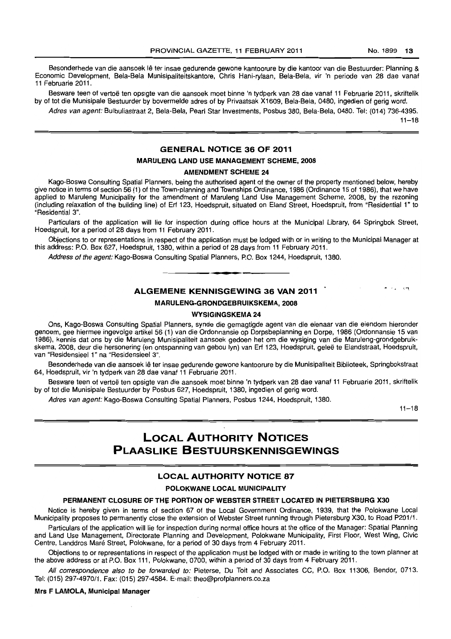Besonderhede van die aansoek lê ter insae gedurende gewone kantoorure by die kantoor van die Bestuurder: Planning & Economic Development, Bela-Bela Munisipaliteitskantore, Chris Hani-rylaan, Bela-Bela, vir 'n periode van 28 dae vanaf 11 Februarie 2011.

Besware teen of vertoë ten opsigte van die aansoek moet binne 'n tydperk van 28 dae vanaf 11 Februarie 2011, skriftelik by of tot die Munisipale Bestuurder by bovermelde adres of by Privaatsak X1609, Bela-Bela, 0480, ingedien of gerig word.

Adres van agent: Bulbuliastraat 2, Bela-Bela, Pearl Star Investments, Posbus 380, Bela-Bela, 0480. Tel: (014) 736-4395.

 $11 - 18$ 

# **GENERAL NOTICE 36 OF 2011**

#### **MARULENG LAND USE MANAGEMENT SCHEME, 2008**

#### **AMENDMENT SCHEME 24**

Kago-Boswa Consulting Spatial Planners, being the authorised agent of the owner of the property mentioned below, hereby give notice in terms of section 56 (1) of the Town-planning and Townships Ordinance, 1986 (Ordinance 15 of 1986), that we have applied to Maruleng Municipality for the amendment of Maruleng Land Use Management Scheme, 2008, by the rezoning (including relaxation of the building line) of Erf 123, Hoedspruit, situated on Eland Street, Hoedspruit, from "Residential 1" to "Residential 3".

Particulars of the application will lie for inspection during office hours at the Municipal Library, 64 Springbok Street, Hoedspruit, for a period of 28 days from 11 February 2011.

Objections to or representations in respect of the application must be lodged with or in writing to the Municipal Manager at this address: P.O. Box 627, Hoedspruit, 1380, within a period of 28 days from **11** February 2011.

Address of the agent: Kago-Boswa Consulting Spatial Planners, P.O. Box 1244, Hoedspruit, 1380.

# **ALGEMENE KENNISGEWING 36 VAN 2011**

**• E** 

#### **MARULENG-GRONDGEBRUIKSKEMA, 2008**

### **WYSIGINGSKEMA 24**

Ons, Kago-Boswa Consulting Spatial Planners, synde die gemagtigde agent van die eienaar van die eiendom hieronder genoem, gee hiermee ingevolge artikel56 (1) van die Ordonnansie op Dorpsbeplanning en Dorpe, 1986 (Ordonnansie 15 van 1986), kennis dat ons by die Maruleng Munisipaliteit aansoek gedoen het om die wysiging van die Maruleng-grondgebruikskema, 2008, deur die hersonering (en ontspanning van gebou Iyn) van Erf 123, Hoedspruit, gelee te Elandstraat, Hoedspruit, van "Residensieel 1" na "Residensieel 3".

Besonderhede van die aansoek lê ter insae gedurende gewone kantoorure by die Munisipaliteit Biblioteek, Springbokstraat 64, Hoedspruit, vir 'n tydperk van 28 dae vanaf 11 Februarie 2011.

Besware teen of vertoë ten opsigte van die aansoek moet binne 'n tydperk van 28 dae vanaf 11 Februarie 2011, skriftelik by of tot die Munisipale Bestuurder by Posbus 627, Hoedspruit, 1380, ingedien of gerig word.

Adres van agent: Kago-Boswa Consulting Spatial Planners, Posbus 1244, Hoedspruit, 1380.

 $11 - 18$ 

# **LOCAL AUTHORITV NOTICES PLAASLIKE BESTUURSKENNISGEWINGS**

# **LOCAL AUTHORITY NOTICE 87**

#### **POLOKWANE LOCAL MUNICIPALITY**

# **PERMANENT CLOSURE OF THe PORTION OF WEBSTER STREET LOCATED IN PIETERSBURG X30**

Notice is hereby given in terms of section 67 of the Local Government Ordinance, 1939, that the Polokwane Local Municipality proposes to permanently close the extension of Webster Street running through Pietersburg X30, to Road P201/1.

Particulars of the application will lie for inspection during normal office hours at the office of the Manager: Spatial Planning and Land Use Management, Directorate Planning and Development, Polokwane Municipality, First Floor, West Wing, Civic Centre, Landdros Maré Street, Polokwane, for a period of 30 days from 4 February 2011.

Objections to or representations in respect of the application must be lodged with or made in writing to the town planner at the above address or at P.O. Box 111, Polokwane, 0700, within a period of 30 days from 4 February 2011.

All correspondence also to be forwarded to: Pieterse, Du Toit and Associates CC, P.O. Box 11306, Bendor, 0713. Tel: (015) 297-497011. Fax: (015) 297-4584. E-mail: theo@profplanners.co.za

#### **Mrs F LAMOLA, Municipal Manager**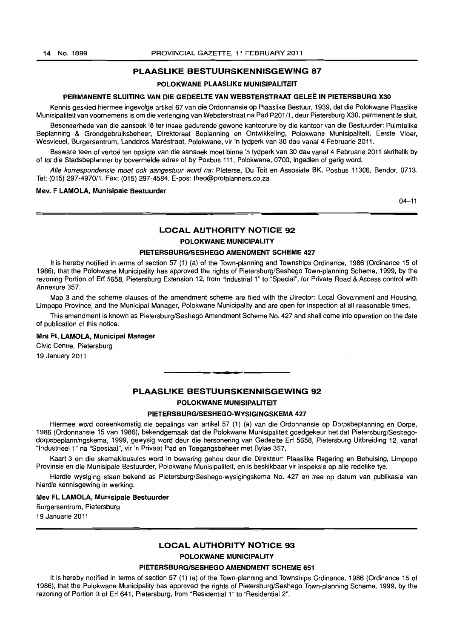# **PLAASLIKE BESTUURSKENNISGEWING 87**

### **POLOKWANE PLAASLIKE MUNISIPALITEIT**

# **PERMANENTE SLUITING VAN DIE GEDEELTE VAN WEBSTERSTRAAT GELEE IN PIETERSBURG X30**

Kennis geskied hiermee ingevolge artikel 67 van die Ordonnansie op Plaasllke Bestuur. 1939. dat die Polokwane Plaaslike Munisipaliteit van voornemens is om die verlenging van Websterstraat na Pad P201/1. deur Pietersburg X30. permanent te sluit.

Besonderhede van die aansoek lê ter insae gedurende gewone kantoorure by die kantoor van die Bestuurder: Ruimtelike Beplanning & Grondgebruiksbeheer. Direktoraat Bepfanning en Ontwikkeling. Polokwane Munisipaliteit. Eerste Vloer. Wesvleuel, Burgersentrum, Landdros Marestraat. Polokwane. vir 'n tydperk van 30 dae vanaf 4 Februarie 2011.

Besware teen of vertoë ten opsigte van die aansoek moet binne 'n tydperk van 30 dae vanaf 4 Februarie 2011 skriftelik by of tot die Stadsbeplanner by bovermelde adres of by Posbus 111, Polokwane, 0700, ingedien of gerig word.

Aile korrespondensie moet ook aangestuur word na: Pieterse, Du Toit en Assosiate BK, Posbus 11306, Bendor, 0713. Tel: (015) 297-4970/1 Fax: (015) 297-4584. E-pos: theo@profplanners.co.za

#### **Mev. F LAMOLA, Munisipale Bestuurder**

 $04 - 11$ 

# **LOCAL AUTHORITY NOTICE 92 POLOKWANE MUNICIPALITY**

#### **PIETERSBURGISESHEGO AMENDMENT SCHEME 427**

It is hereby notified in terms of section 57 (1) (a) of the Town-planning and Townships Ordinance, 1986 (Ordinance 15 of 1986), that the Polokwane Municipality has approved the rights of PietersburglSeshego Town-planning Scheme, 1999, by the rezoning Portion of Erf 5658, Pietersburg Extension 12, from "Industrial 1" to "Special", for Private Road & Access control with Annexure 357.

Map 3 and the scheme clauses of the amendment scheme are filed with the Director: Local Government and Housing. Limpopo Province, and the Municipal Manager, Polokwane Municipality and are open for inspection at all reasonable times.

This amendment is known as Pietersburg/Seshego Amendment Scheme No. 427 and shall come into operation on the date of publication of this notice.

#### **Mrs FL LAMOLA, Municipal Manager**

Civic Centre. Pietersburg

19 January 2011

# **PLAASLIKE BESTUURSKENNISGEWING 92 POLOKWANE MUNISIPALITEIT**

**1\_.** 

#### **PIETERSBlIRGlSESHEGO-WYSIGINGSKEMA 427**

Hiermee word ooreenkomstig die bepalings van artikel 57 (1) (a) van die Ordonnansie op Dorpsbeplanning en Dorpe, 1986 (Ordonnansie 15 van 1986), bekendgemaak dat die Polokwane Munisipaliteit goedgekeur het dat Pietersburg/Seshegodorpsbeplanningskema, 1999, gewysig word deur die hersonering van Gedeelte Erf 5658, Pietersburg Uitbreiding 12, vanaf "Industrieel 1" na "Spesiaal", vir 'n Privaat Pad en Toegangsbeheer met Bylae 357.

Kaart 3 en die skemaklousules word in bewaring gehou deur die Direkteur: Plaaslike Regering en Behuising, Limpopo Provinsie en die Munisipale Bestuurder, Polokwane Munisipaliteit, en is beskikbaar vir inspeksie op aile redelike lye.

Hierdie wysiging staan bekend as Pietersburg/Seshego-wysigingskema No. 427 en tree op datum van publikasie van hierdie kennisgewing in werking.

#### **Mev FL LAMOLA, Munisipale Bestuurder**

Burgersentrum, Pietersburg 19 Januarie 2011

# **LOCAL AUTHORITY NOTICE 93**

**POLOKWANE MUNICIPALITY** 

#### **PIETERSBURGISESHEGO AMENDMENT SCHEME 651**

It is hereby notified in terms of section 57 (1) (a) of the Town-planning and Townships Ordinance, 1986 (Ordinance 15 of 1986), that the Polokwane Municipality has approved the rights of Pietersburg/Seshego Town-planning Scheme, 1999, by the rezoning of Portion 3 of Erf 641, Pietersburg, from "Residential 1» to "Residential 2".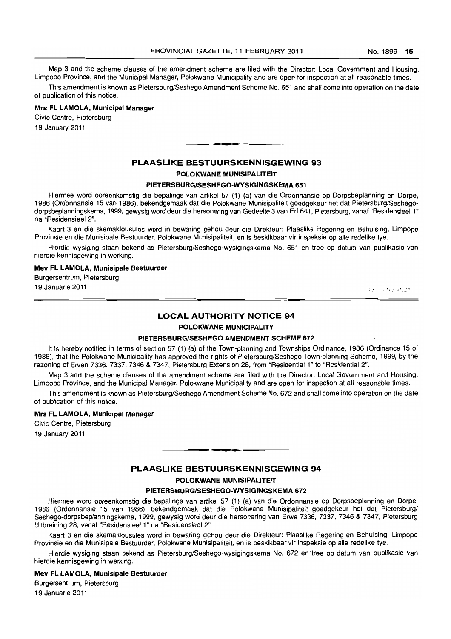Map 3 and the scheme clauses of the amendment scheme are filed with the Director: Local Government and Housing. Limpopo Province, and the Municipal Manager, Polokwane Municipality and are open for inspection at all reasonable times.

This amendment is known as Pietersburg/Seshego Amendment Scheme No. 651 and shall come into operation on the date of publication of this notice.

#### Mrs FL LAMOLA, Municipal Manager

Civic Centre. Pietersburg 19 January 2011

# PLAASLIKE BESTUURSKENNISGEWING 93 POLOKWANE MUNISIPALITEIT

• **• I** 

#### PIETERSBURGISESHEGO-WYSIGINGSKEMA 651

Hiermee word ooreenkomstig die bepalings van artikel 57 (1) (a) van die Ordonnansie op Dorpsbeplanning en Dorpe, 1986 (Ordonnansie 15 van 1986). bekendgemaak dat die Polokwane Munisipaliteit goedgekeur het dat Pietersburg/Seshegodorpsbeplanningskema, 1999. gewysig word deur die hersonering van Gedeelte 3 van Erf 641. Pietersburg. vanaf "Residensieel 1" na "Residensieel 2",

Kaart 3 en die skemaklousules word in bewaring gehou deur die Direkteur: Plaaslike Regering en Behuising. Limpopo Provinsie en die Munisipale Bestuurder. Polokwane Munisipaliteit. en is beskikbaar vir inspeksie op aile redelike tye.

Hierdie wysiging staan bekend as Pietersburg/Seshego-wysigingskema No. 651 en tree op datum van publikasie van hierdie kennisgewing in werking.

#### Mev FL LAMOLA, Munisipale Bestuurder

Burgersentrum, Pietersburg 19 Januarie 2011

: . •• '..... ~ ~\_o

# LOCAL AUTHORITY NOTICE 94

### POLOKWANE MUNICIPALITY

# PIETERSBURG/SESHEGO AMENDMENT SCHEME 672

It is hereby notified in terms of section 57 (1) (a) of the Town-planning and Townships Ordinance, 1986 (Ordinance 15 of 1986). that the Polokwane Municipality has approved the rights of Pietersburg/Seshego Town-planning Scheme, 1999. by the rezoning of Erven 7336, 7337, 7346 & 7347, Pietersburg Extension 28, from "Residential 1" to "Residential 2".

Map 3 and the scheme clauses of the amendment scheme are filed with the Director: Local Government and Housing. limpopo Province, and the Municipal Manager, Polokwane Municipality and are open for inspection at all reasonable times.

This amendment is known as Pietersburg/Seshego Amendment Scheme No. 672 and shall come into operation on the date of publication of this notice.

#### Mrs FL LAMOLA, Municipal Manager

Civic Centre, Pietersburg

19 January 2011

# PLAASLIKE BESTUURSKENNISGEWING 94 POLOKWANE MUNISIPALITEIT

• **••** 

#### PIETERSBURGISESHEGO-WVSIGINGSKEMA 672

Hiermee word ooreenkomstig die bepalings van artikel 57 (1) (a) van die Ordonnansie op Dorpsbeplanning en Dorpe, 1986 (Ordonnansie 15 van 1986). bekendgemaak dat die Polokwane Munisipaliteit goedgekeur het dat Pietersburgl Seshego-dorpsbeplanningskema, 1999. gewysig word deur die hersonering van Erwe 7336, 7337. 7346 & 7347, Pietersburg Uitbreiding 28, vanaf "Residensieel 1" na "Residensieel 2".

Kaart 3 en die skemaklousules word in bewaring gehou deur die Direkteur: Plaaslike Regering en Behuising, Limpopo Provinsie en die Munisipale Bestuurder, Polokwane Munisipaliteit. en is beskikbaar vir inspeksie op aile redelike tye.

Hierdie wysiging staan bekend as Pietersburg/Seshego-wysigingskema No. 672 en tree op datum van publikasie van hierdie kennisgewing in werking.

#### Mev Fl LAMOLA, Munlsipale Bestuurder

Burgersentrum, Pietersburg 19 Januarie 2011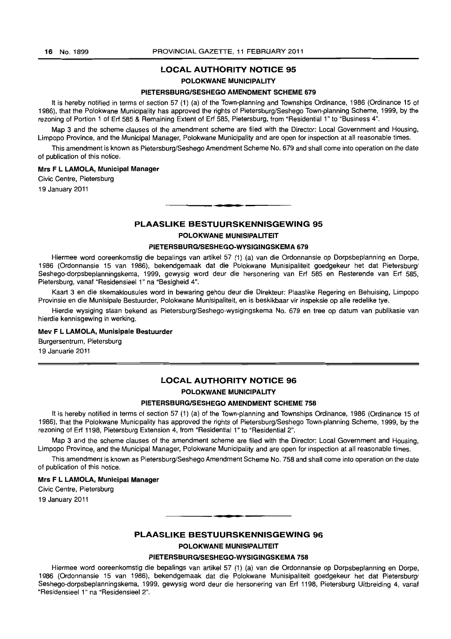# **LOCAL AUTHORITY NOTICE 95**

#### **POLOKWANE MUNICIPALITY**

#### **PIETERSBURGISESHEGO AMENDMENT SCHEME 679**

It is hereby notified in terms of section 57 (1) (a) of the Town-planning and Townships Ordinance, 1986 (Ordinance 15 of 1986), that the Polokwane Municipality has approved the rights of Pietersburg/Seshego Town-planning Scheme, 1999, by the rezoning of Portion 1 of Erf 585 & Remaining Extent of Erf 585, Pietersburg, from "Residential 1" to "Business 4".

Map 3 and the scheme clauses of the amendment scheme are filed with the Director: Local Government and Housing. Limpopo Province, and the Municipal Manager, Polokwane Municipality and are open for inspection at all reasonable times.

This amendment is known as Pietersburg/Seshego Amendment Scheme No. 679 and shall come into operation on the date of publication of this notice.

#### **Mrs F L LAMOLA, Municipal Manager**

Civic Centre. Pietersburg

1 9 January 2011

# **PLAASLIKE BESTUURSKENNISGEWING 95**

<sup>I</sup>**••** 

**POLOKWANE MUNISIPALITEIT** 

### **PIETERSBURGISESHEGO·WVSIGINGSKEMA 679**

Hiermee word ooreenkomstig die bepalings van artikel 57 (1) (a) van die Ordonnansie op Dorpsbeplanning en Dorpe, 1986 (Ordonnansie 15 van 1986), bekendgemaak dat die Polokwane Munisipaliteit goedgekeur het dat Pietersburgl Seshego-dorpsbeplanningskema, 1999, gewysig word deur die hersonering van Erf 585 en Resterende van Erf 585, Pietersburg, vanaf "Residensieel 1" na "Besigheid 4".

Kaart 3 en die skemaklousules word in bewaring gehou deur die Direkteur: Plaaslike Regering en Behuising, Limpopo Provinsie en die Munisipale Bestuurder, Polokwane Munisipaliteit, en is beskikbaar vir inspeksie op aile redelike tye.

Hierdie wysiging staan bekend as Pietersburg/Seshego-wysigingskema No. 679 en tree op datum van publikasie van hierdie kennisgewing in werking.

#### **Mev F L LAMOLA, Munisipale Bestuurder**

Burgersentrum. Pietersburg 19 Januarie 2011

# **LOCAL AUTHORITY NOTICE 96**

#### **POLOKWANE MUNICIPALITY**

# **PIETERSBURG/SESHEGO AMENDMENT SCHEME 758**

It is hereby notified in terms of section 57 (1) (a) of the Town-planning and Townships Ordinance, 1986 (Ordinance 15 of 1986), that the Polokwane Municipality has approved the rights of Pietersburg/Seshego Town-planning Scheme, 1999, by the rezoning of Erf 1198, Pietersburg Extension 4, from "Residential 1" to "Residential 2".

Map 3 and the scheme clauses of the amendment scheme are filed with the Director: Local Government and Housing, Limpopo Province, and the Municipal Manager, Polokwane Municipality and are open for inspection at all reasonable times.

This amendment is known as Pietersburg/Seshego Amendment Scheme No. 758 and shall come into operation on the date of publication of this notice.

#### **Mrs F L LAMOLA, Municipal Manager**

Civic Centre, Pietersburg 19 January 2011

# **PLAASLIKE BESTUURSKENNISGEWING 96**

**• •** 

**POLOKWANE MUNISIPALITEIT** 

# **PIETERSBURG/SESHEGO-WVSIGINGSKEMA 758**

Hiermee word ooreenkomstig die bepalings van artikel 57 (1) (a) van die Ordonnansie op Dorpsbeplanning en Dorpe, 1986 (Ordonnansie 15 van 1986), bekendgemaak dat die Polokwane Munisipaliteit goedgekeur het dat Pietersburgl Seshego-dorpsbeplanningskema, 1999, gewysig word deur die hersonering van Erf 1198, Pietersburg Uitbreiding 4, vanaf "Residensieel 1" na "Residensieel 2".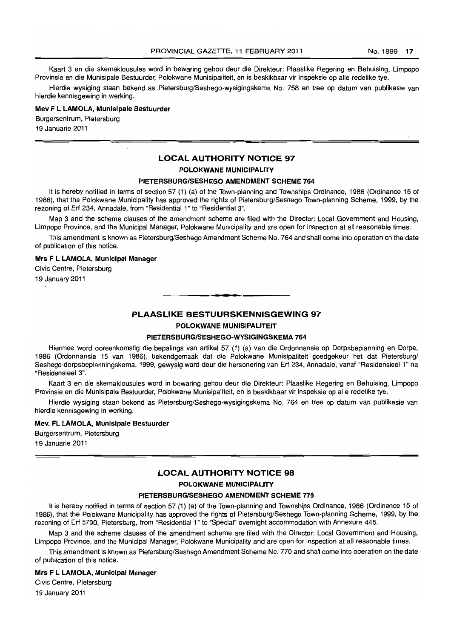#### PROVINCIAL GAZETTE, 11 FEBRUARY 2011 No. 1899 17

Kaart 3 en die skemaklousules word in bewaring gehou deur die Direkteur: Plaaslike Regering en Behuising, Limpopo Provinsie en die Munisipale Bestuurder, Polokwane Munisipaliteit, en is beskikbaar vir inspeksie op aile redelike tye.

Hierdie wysiging staan bekend as Pietersburg/Seshego-wysigingskema No. 758 en tree op datum van publikasie van hierdie kennisgewing in werking.

#### Mev F L LAMOLA, Munisipale Bestuurder

Burgersentrum, Pietersburg 19 Januarie 2011

# **LOCAL AUTHORITY NOTICE** 97

#### POLOKWANE MUNICIPALITY

#### PIETERSBURG/SESHEGO AMENDMENT SCHEME 764

It is hereby notified in terms of section 57 (1) (a) of the Town-planning and Townships Ordinance, 1986 (Ordinance 15 of 1986), that the Polokwane Municipality has approved the rights of PietersburglSeshego Town-planning Scheme, 1999, by the rezoning of Erf 234, Annadale, from "Residential 1" to "Residential 3".

Map 3 and the scheme clauses of the amendment scheme are filed with the Director: Local Government and Housing, Limpopo Province, and the Municipal Manager, Polokwane Municipality and are open for inspection at all reasonable times.

This amendment is known as Pietersburg/Seshego Amendment Scheme No. 764 and shall come into operation on the date of publication of this notice.

#### Mrs F L LAMOLA, Municipal Manager

Civic Centre, Pietersburg 19 January 2011

# **PLAASLIKE BESTUURSKENNISGEWING** 97

**-.** 

#### POLOKWANE MUNISIPALITEIT

# PIETERSBURGISESHEGO-WVSIGINGSKEMA 764

Hiermee word ooreenkomstig die bepalings van artikel 57 (1) (a) van die Ordonnansie op Dorpsbeplanning en Dorpe, 1986 (Ordonnansie 15 van 1986), bekendgemaak dat die Polokwane Munisipaliteit goedgekeur het dat Pietersburg/ Seshego-dorpsbeplanningskema, 1999, gewysig word deur die hersonering van Erf 234, Annadale, varat "Residensieel 1" na "Residensieel 3".

Kaart 3 en die skemaklousules word in bewaring gehou deur die Direkteur: Plaaslike Regering en Behuising, Limpopo Provinsie en die Munisipale Bestuurder, Polokwane Munisipaliteit, en is beskikbaar vir inspeksie op aile redelike tye.

Hierdie wysiging staan bekend as Pietersburg/Seshego-wysigingskema No. 764 en tree op datum van publikasie van hierdie kennisgewing in werking.

# Mev. FL LAMOLA, Munisipale Bestuurder Burgersentrum, Pietersburg

19 Januarie 2011

### **LOCAL AUTHORITY NOTICE 98**

#### POLOKWANE MUNICIPALITY

# PIETERSBURG/SESHEGO AMENDMENT SCHEME 770

It is hereby notified in terms of section 57 (1) (a) of the Town-planning and Townships Ordinance, 1986 (Ordinance 15 of 1986), that the Polokwane Municipality has approved the rights of PietersburglSeshego Town-planning Scheme, 1999, by the rezoning of Erf 5790, Pietersburg, from "Residential 1" to "Special" overnight accommodation with Annexure 445.

Map 3 and the scheme clauses of the amendment scheme are filed with the Director: Local Government and Housing, Limpopo Province, and the Municipal Manager, Polokwane Municipality and are open for inspection at all reasonable times.

This amendment is known as Pietersburg/Seshego Amendment Scheme No. 770 and shall come into operation on the date of publication of this notice.

#### Mrs F L LAMOLA, Municipal Manager

Civic Centre, Pietersburg 19 January 2011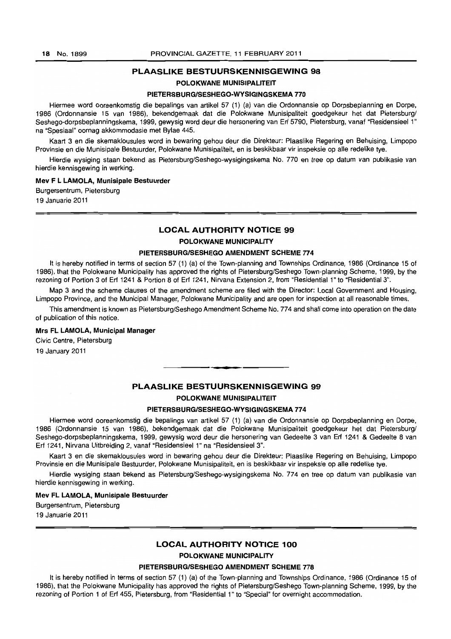### **PLAASLIKE BESTUURSKENNISGEWING 98**

#### **POLOKWANE MUNISIPALITEIT**

#### **PIETERSBURG/SESHEGO-WYSIGINGSKEMA 770**

Hiermee word ooreenkomstig die bepalings van artikel 57 (1) (a) van die Ordonnansie op Dorpsbeplanning en Dorpe, 1986 (Ordonnansie 15 van 1986). bekendgemaak dat die Polokwane Munisipaliteit goedgekeur het dat Pietersburg/ Seshego-dorpsbeplanningskema. 1999. gewysig word deur die hersonering van Erf 5790, Pietersburg. vanaf "Residensieel 1" na "Spesiaal" oornag akkommodasie met Bylae 445.

Kaart 3 en die skemaklousules word in bewaring gehou deur die Direkteur: Plaaslike Regering en Behuising, Limpopo Provinsie en die Munisipale Bestuurder. Polokwane Munisipaliteit. en is beskikbaar vir inspeksie op aile redelike tye.

Hierdie wysiging staan bekend as Pietersburg/Seshego-wysigingskema No. 770 en tree op datum van publikasie van hierdie kennisgewing in werking.

#### **Mev F L LAMOLA, Munisipale Bestuurder**

Burgersentrum, Pietersburg 19 Januarie 2011

# **LOCAL AUTHORITY NOTICE 99**

**POLOKWANE MUNICIPALITY** 

#### **PIETERSBURG/SESHEGO AMENDMENT SCHEME 774**

It is hereby notified in terms of section 57 (1) (a) of the Town-planning and Townships Ordinance, 1986 (Ordinance 15 of 1986), that the Polokwane Municipality has approved the rights of Pietersburg/Seshego Town-planning Scheme, 1999. by the rezoning of Portion 3 of Erf 1241 & Portion 8 of Erf 1241, Nirvana Extension 2, from "Residential 1" to "Residential 3".

Map 3 and the scheme clauses of the amendment scheme are filed with the Director: Local Government and Housing. Limpopo Province. and the Municipal Manager, Polokwane Municipality and are open for inspection at all reasonable times.

This amendment is known as Pietersburg/Seshego Amendment Scheme No. 774 and shall come into operation on the date of publication of this notice.

#### **Mrs FL LAMOLA, Municipal Manager**

Civic Centre, Pietersburg

19 January 2011

# **PLAASLIKE BESTUURSKENNISGEWING 99**

#### **POLOKWANE MUNISIPALITEIT**

**I \_** 

#### **PIETERSBURG/SESHEGO-WYSIGINGSKEMA n4**

Hiermee word ooreenkomstig die bepalings van artikel 57 (1) (a) van die Ordonnansie op Dorpsbeplanning en Dorpe. 1986 (Ordonnansie 15 van 1986), bekendgemaak dat die Polokwane Munisipaliteit goedgekeur het dat Pietersburgl Seshego-dorpsbeplanningskema. 1999. gewysig word deur die hersonering van Gedeelte 3 van Erf 1241 & Gedeelte 8 van Erf 1241, Nirvana Uitbreiding 2, vanaf "Residensieel 1" na "Residensieel 3".

Kaart 3 en die skemaklousules word in bewaring gehou deur die Direkteur: Plaaslike Regering en Behuising. Limpopo Provinsie en die Munisipale Bestuurder. Polokwane Munisipaliteit, en is beskikbaar vir inspeksie op aile redelike tye.

Hierdie wysiging staan bekend as Pietersburg/Seshego~wysigingskema No. 774 en tree op datum van publikasie van hierdie kennisgewing in werking.

#### **Mev FL LAMOLA, Munisipale Bestuurder**

Burgersentrum. Pietersburg 19 Januarie 2011

# **LOCAL AUTHORITY NOTICE 100**

**POLOKWANE MUNICIPALITY** 

#### **PIETERSBURG/SESHEGO AMENDMENT SCHEME 778**

It is hereby notified in terms of section 57 (1) (a) of the Town-planning and Townships Ordinance, 1986 (Ordinance 15 of 1986), that the Polokwane Municipality has approved the rights of Pietersburg/Seshego Town-planning Scheme, 1999. by the rezoning of Portion 1 of Erf 455, Pietersburg, from "Residential 1" to "Special" for overnight accommodation.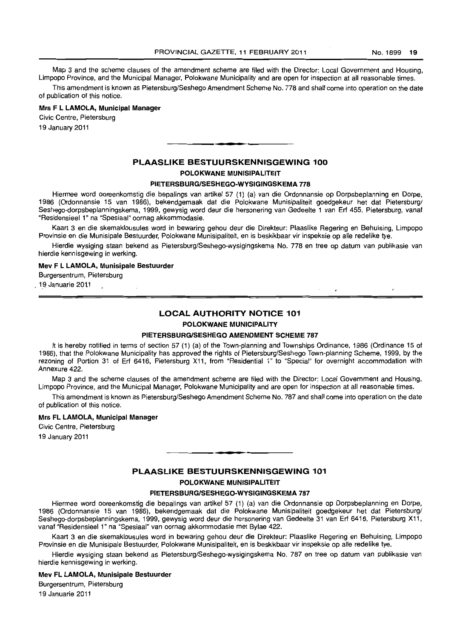#### PROVINCIAL GAZETTE, 11 FEBRUARY 2011 No. 1899 19

Map 3 and the scheme clauses of the amendment scheme are filed with the Director: Local Government and Housing, Limpopo Province, and the Municipal Manager, Polokwane Municipality and are open for inspection at all reasonable times.

This amendment is known as Pietersburg/Seshego Amendment Scheme No. 778 and shall come into operation on the date of publication of this notice.

#### **Mrs F L LAMOLA, Municipal Manager**

Civic Centre, Pietersburg 19 January 2011

# **PLAASLIKE BESTUURSKENNISGEWING 100 POLOKWANE MUNISIPALITEIT**

• **• I** 

#### **PIETERSBURGISESHEGO-WYSIGINGSKEMA 778**

Hiermee word ooreenkomstig die bepalings van artikel 57 (1) (a) van die Ordonnansie op Dorpsbeplanning en Dorpe, 1986 (Ordonnansie 15 van 1986), bekendgemaak dat die Polokwane Munisipaliteit goedgekeur het dat Pietersburgl Seshego-dorpsbeplanningskema, 1999, gewysig word deur die hersonering van Gedeelte 1 van Erf 455, Pietersburg, vanaf "Residensieel 1" na "Spesiaal" oornag akkommodasie.

Kaart 3 en die skemaklousules word in bewaring gehou deur die Direkteur: Plaaslike Regering en Behuising, Limpopo Provinsie en die Munisipale Bestuurder, Polokwane Munisipaliteit, en is beskikbaar vir inspeksie op aile redelike tye.

Hierdie wysiging staan bekend as Pietersburg/Seshego-wysigingskema No. 778 en tree op datum van publikasie van hierdie kennisgewing in werking.

#### **Mev F L LAMOLA, Munisipale Bestuurder**

Burgersentrum, Pietersburg

19 Januarie 2011

# **LOCAL AUTHORITY NOTICE 101**

**POLOKWANE MUNICIPALITY** 

#### **PIETERSBURG/SESHEGO AMENDMENT SCHEME 787**

It is hereby notified in terms of section 57 (1) (a) of the Town-planning and Townships Ordinance, 1986 (Ordinance 15 of 1986), that the Polokwane Municipality has approved the rights of Pietersburg/Seshego Town-planning Scheme, 1999, by the rezoning of Portion 31 of Erf 6416, Pietersburg X11, from "Residential 1" to "Special" for overnight accommodation with Annexure 422.

Map 3 and the scheme clauses of the amendment scheme are filed with the Director: Local Government and Housing. Limpopo Province, and the Municipal Manager, Polokwane Municipality and are open for inspection at all reasonable times.

This amendment is known as Pietersburg/Seshego Amendment Scheme No. 787 and shall come into operation on the date of publication of this notice.

#### **Mrs FL LAMOLA, Municipal Manager**

Civic Centre, Pietersburg

19 January 2011

# **PLAASLIKE BESTUURSKENNISGEWING 101 POLOKWANE MUNISIPALITEIT**

**I •** 

#### **PIETERSBURGISESHEGO·WYSIGINGSKEMA 787**

Hiermee word ooreenkomstig die bepalings van artikel 57 (1) (a) van die Ordannansie op Dorpsbeplanning en Darpe, 1986 (Ordonnansie 15 van 1986), bekendgemaak dat die Polokwane Munisipaliteit goedgekeur het dat Pietersburgl Seshego-dorpsbeplanningskema, 1999, gewysig word deur die hersonering van Gedeelte 31 van Erf 6416, Pietersburg Xii, vanaf "Residensieel 1" na ·Spesiaal" van oornag akkommodasie met Bylae 422.

Kaart 3 en die skemaklousules word in bewaring gehou deur die Direkteur: Plaaslike Regering en Behuising. Limpopo Provinsie en die Munisipale Bestuurder, Polokwane Munisipaliteit. en is beskikbaar vir inspeksie op aile redelike tye.

Hierdie wysiging staan bekend as Pietersburg/Seshego-wysigingskema No. 787 en tree op datum van publikasie van hierdie kennisgewing in werking.

#### **Mev FL LAMOLA, Munisipale Bestuurder**

Burgersentrum, Pietersburg 19 Januarie 2011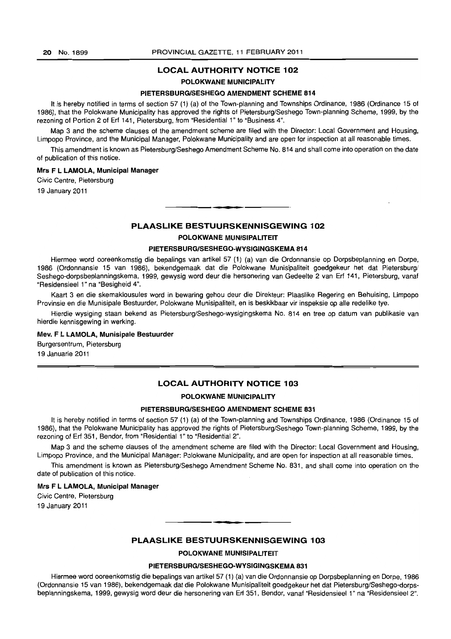# **LOCAL AUTHORITY NOTICE 102**

# **POLOKWANE MUNICIPALITY**

#### **PIETERSBURGISESHEGO AMENDMENT SCHEME 814**

It is hereby notified in terms of section 57 (1) (a) of the Town-planning and Townships Ordinance, 1986 (Ordinance 15 of 1986), that the Polokwane Municipality has approved the rights ot Pietersburg/Seshego Town-planning Scheme. 1999, by the rezoning of Portion 2 of Erf 141, Pietersburg, from "Residential 1" to "Business 4".

Map 3 and the scheme clauses of the amendment scheme are filed with the Director: Local Government and Housing, Limpopo Province, and the Municipal Manager, Polokwane Municipality and are open for inspection at all reasonable times.

This amendment is known as Pietersburg/Seshego Amendment Scheme No. 814 and shall come into operation on the date of publication of this notice.

#### **Mrs F L LAMOLA, Municipal Manager**

Civic Centre, Pietersburg

19 January 2011

# **PLAASLIKE BESTUURSKENNISGEWING 102**

**•••** 

**POLOKWANE MliNISIPALITEIT** 

# **PIETERSBURGISESHEGO-WYSIGINGSKEMA 814**

Hiermee word ooreenkomstig die bepalings van artikel 57 (1) (a) van die Ordonnansie op Dorpsbeplanning en Dorpe, 1986 (Ordonnansie 15 van 1986), bekendgemaak dat die Polokwane Munisipaliteit goedgekeur het dat Pietersburg/ Seshego-dorpsbeplanningskema, 1999. gewysig word deur die hersonering van Gedeelte 2 van Erf 141, Pietersburg, vanaf "Residensieel 1" na "Besigheid 4".

Kaart 3 en die skemaklousules word in bewaring gehou deur die Direkteur: Plaaslike Regering en Behuising. Limpopo Provinsie en die Munisipale Bestuurder, Polokwane Munisipaliteit, en is beskikbaar vir inspeksie op aile redelike tye.

Hierdie wysiging staan bekend as PietersburglSeshego-wysigingskema No. 814 en tree op datum van publikasie van hierdie kennisgewing in werking.

# Mev. F **L LAMOLA, Munisipale Bestuurder**

Burgersentrum, Pietersburg 19 Januarie 2011

# **LOCAL AUTHORITY NOTICE 103**

#### **POLOKWANE MUNICIPALITY**

#### **PIETERSBURGISESHEGO AMENDMENT SCHEME 831**

It is hereby notified in terms of section 57 (1) (a) of the Town-planning and Townships Ordinance, 1986 (Ordinance 15 of 1986), that the Polokwane Municipality has approved the rights of Pietersburg/Seshego Town-planning Scheme, 1999, by the rezoning of Erf 351, Bendor, from "Residential 1" to "Residential 2".

Map 3 and the scheme clauses of the amendment scheme are filed with the Director: Local Government and Housing. Limpopo Province, and the Municipal Manager: Polokwane Municipality, and are open for inspection at all reasonable times.

This amendment is known as Pietersburg/Seshego Amendment Scheme No. 831, and shall come into operation on the date of publication of this notice.

### **Mrs F L LAMOLA, Municipal Manager**

Civic Centre, Pietersburg 19 January 2011

# **PLAASLIKE BESTUURSKENNISGEWING 103**

**1 •** 

# **POLOKWANE MUNISIPALITEIT**

#### **PIETERSBURGISESHEGO-WYSIGINGSKEMA 831**

Hiermee word ooreenkomstig die bepalings van artikel 57 (1) (a) van die Ordonnansie op Dorpsbeplanning en Dorpe. 1986 (Ordonnansie 15 van 1986). bekendgemaak dat die Polokwane Munisipaliteit goedgekeur het dat Pietersburg/Seshego-dorpsbeplanningskema, 1999, gewysig word deur die hersonering van Erf 351, Bendor, vanaf "Residensieel 1" na "Residensieel 2".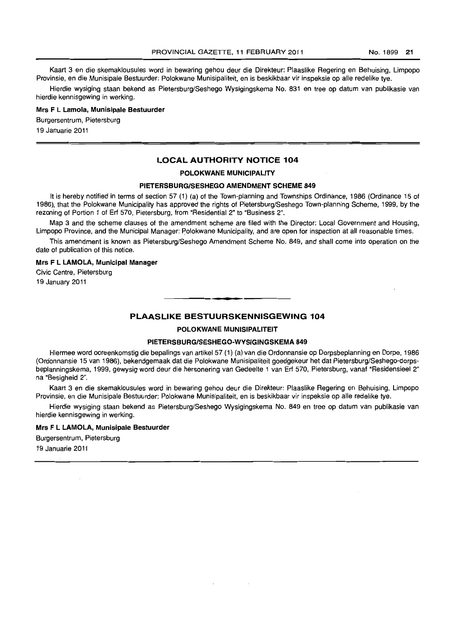Kaart 3 en die skemaklousules word in bewaring gehou deur die Direkteur: Plaaslike Regering en Behuising, Limpopo Provinsie, en die Munisipale Bestuurder: Polokwane Munisipaliteit, en is beskikbaar vir inspeksie op aile redelike tye.

Hierdie wysiging staan bekend as Pietersburg/Seshego Wysigingskema No. 831 en tree op datum van publikasie van hierdie kennisgewing in werking.

#### Mrs F L Lamola, Munisipale Bestuurder

Burgersentrum, Pietersburg 19 Januarie 2011

# **LOCAL AUTHORITY NOTICE 104**

#### POLOKWANE MUNICIPALITY

#### PIETERSBURG/SESHEGO AMENDMENT SCHEME 849

It is hereby notified in terms of section 57 (1) (a) of the Town-planning and Townships Ordinance, 1986 (Ordinance 15 of 1986), that the Polokwane Municipality has approved the rights of Pietersburg/Seshego Town-planning Scheme, 1999, by the rezoning of Portion 1 of Erf 570, Pietersburg, from "Residential 2" to "Business 2".

Map 3 and the scheme clauses of the amendment scheme are filed with the Director: Local Government and Housing, Limpopo Province, and the Municipal Manager: Polokwane Municipality, and are open for inspection at all reasonable times.

This amendment is known as Pietersburg/Seshego Amendment Scheme No. 849, and shall come into operation on the date of publication of this notice.

### Mrs F L LAMOLA, Municipal Manager

Civic Centre, Pietersburg 19 January 2011

### **PLAASLIKE BESTUURSKENNISGEWING 104**

**• •** 

#### POLOKWANE MUNISIPALITEIT

#### PIETERSBURG/SESHEGO-WYSIGINGSKEMA 849

Hiermee word ooreenkomstig die bepalings van artikel 57 (1) (a) van die Ordonnansie op Dorpsbeplanning en Dorpe, 1986 (Ordonnansie 15 van 1986), bekendgemaak dat die Polokwane Munisipaliteit goedgekeur het dat Pietersburg/Seshego-dorpsbeplanningskema, 1999. gewysig word deur die hersonering van Gedeelte 1 van Erf 570. Pietersburg, vanaf "Residensieel 2" na "Besigheid 2".

Kaart 3 en die skemaklousules word in bewaring gehou deur die Direkteur: Plaaslike Regering en Behuising, Limpopo Provinsie, en die Munisipale Bestuurder: Polokwane Munisipaliteit. en is beskikbaar vir inspeksie op aile redelike tye.

Hierdie wysiging staan bekend as Pietersburg/Seshego Wysigingskema No. 849 en tree op datum van publikasie van hierdie kennisgewing in werking.

# Mrs F L LAMOLA, Munisipale Bestuurder

Burgersentrum. Pietersburg

19 Januarie 2011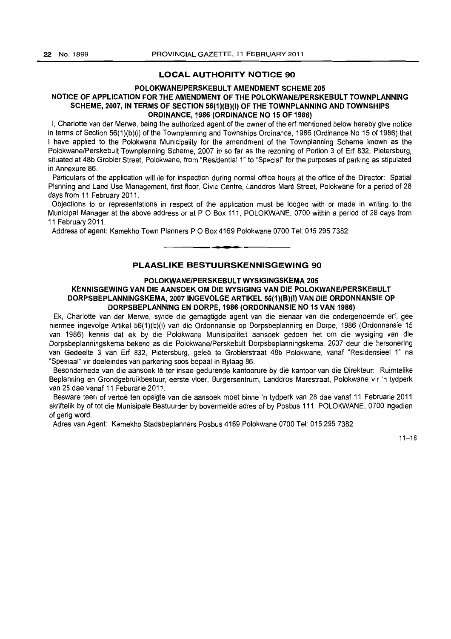# **LOCAL AUTHORITY NOTICE 90**

### **POLOKWANE/PERSKEBULT AMENDMENT SCHEME 205**

# **NOTICE OF APPLICATION FOR THE AMENDMENT OF THE POLOKWANE/PERSKEBULT TOWNPLANNING SCHEME,2007, IN TERMS OF SECTION 56(1)(B)(I) OF THE TOWNPLANNING AND TOWNSHIPS ORDINANCE, 1986 (ORDINANCE NO 15 OF 1986)**

I, Charlotte van der Merwe, being the authorized agent of the owner of the ert mentioned below hereby give notice in terms of Section 56(1)(b)(i) of the Townplanning and Townships Ordinance, 1986 (Ordinance No 15 of 1986) that I have applied to the Polokwane Municipality for the amendment of the Townplanning Scheme known as the Polokwane/Perskebult Townplanning Scheme, 2007 in so far as the rezoning of Portion 3 of Ert 832, Pietersburg, situated at 48b Grobler Street, Polokwane, from "Residential 1" to "Special" for the purposes of parking as stipulated in Annexure 86.

Particulars of the application will lie for inspection during normal office hours at the office of the Director: Spatial Planning and Land Use Management, first floor, Civic Centre, Landdros Mare Street, Polokwane for a period of 28 days from 11 February 2011.

Objections to or representations in respect of the application must be lodged with or made in writing to the Municipal Manager at the above address or at P O Box 111, POLOKWANE, 0700 within a period of 28 days from 11 February 2011.

Address of agent: Kamekho Town Planners POBox 4169 Polokwane 0700 Tel: 0152957382

# **PLAASLIKE BESTUURSKENNISGEWING 90**

**-**

# **POLOKWANE/PERSKEBULT WYSIGINGSKEMA 205**

# **KENNISGEWING VAN DIE AANSOEK OM DIE WYSIGING VAN DIE POLOKWANE/PERSKEBULT**  DORPSBEPLANNINGSKEMA, 2007 INGEVOLGE ARTIKEL 56(1)(B)(I) VAN DIE ORDONNANSIE OP **DORPSBEPLANNING EN DORPE, 1986 (ORDONNANSIE NO 15 VAN 1986)**

Ek, Charlotte van der Merwe, synde die gemagtigde agent van die eienaar van die ondergenoemde ert, gee hiermee ingevolge Artikel 56(1 )(b)(i) van die Ordonnansie op Dorpsbeplanning en Dorpe, 1986 (Ordonnansie 15 van 1986) kennis dat ek by die Polokwane Munisipaliteit aansoek gedoen het om die wysiging van die Dorpsbeplanningskema bekend as die Polokwane/Perskebult Dorpsbeplanningskema, 2007 deur die hersonering van Gedeelte 3 van Erf 832, Pietersburg, geleë te Groblerstraat 48b Polokwane, vanaf "Residensieel 1" na "Spesiaal" vir doeleindes van parkering soos bepaal in Bylaag 86.

Besonderhede van die aansoek lê ter insae gedurende kantoorure by die kantoor van die Direkteur: Ruimtelike Beplanning en Grondgebruikbestuur, eerste vloer, Burgersentrum, Landdros Marestraat. Polokwane vir 'n tydperk van 28 dae vanaf 11 Feburarie 2011.

Besware teen of vertoe ten opsigte van die aansoek moet binne 'n tydperk van 28 dae vanaf 11 Februarie 2011 skriftelik by of tot die Munisipale Bestuurder by bovermelde adres of by Posbus 111, POLOKWANE, 0700 ingedien of gerig word.

Adres van Agent: Kamekho Stadsbeplanners Posbus 4169 Polokwane 0700 Tel: 015 295 7382

 $11 - 18$